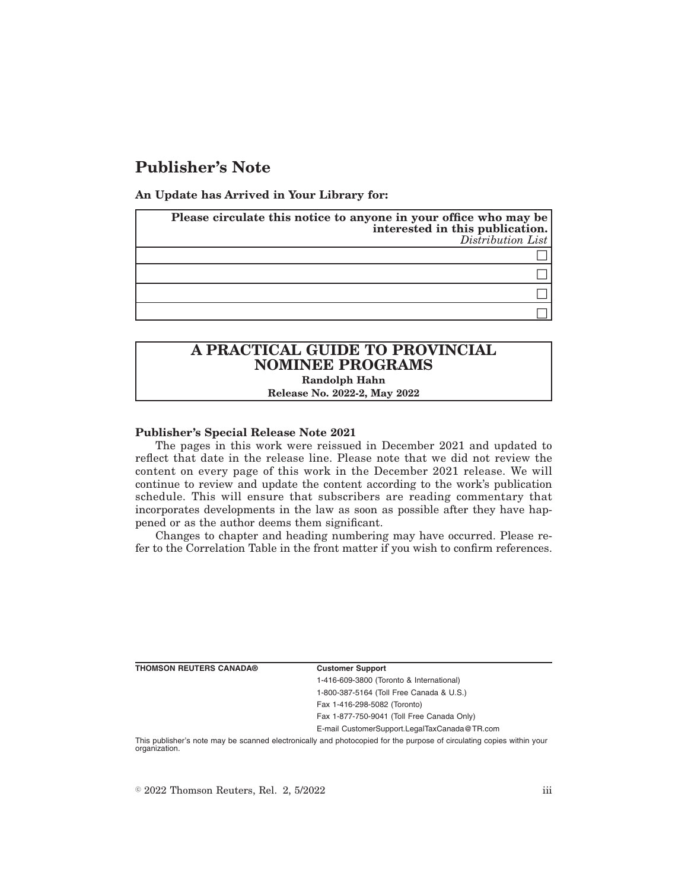# **Publisher's Note**

**An Update has Arrived in Your Library for:**

| Please circulate this notice to anyone in your office who may be<br>interested in this publication.<br>Distribution List |
|--------------------------------------------------------------------------------------------------------------------------|
|                                                                                                                          |
|                                                                                                                          |
|                                                                                                                          |
|                                                                                                                          |

# **A PRACTICAL GUIDE TO PROVINCIAL NOMINEE PROGRAMS Randolph Hahn**

**Release No. 2022-2, May 2022**

## **Publisher's Special Release Note 2021**

The pages in this work were reissued in December 2021 and updated to reflect that date in the release line. Please note that we did not review the content on every page of this work in the December 2021 release. We will continue to review and update the content according to the work's publication schedule. This will ensure that subscribers are reading commentary that incorporates developments in the law as soon as possible after they have happened or as the author deems them significant.

Changes to chapter and heading numbering may have occurred. Please refer to the Correlation Table in the front matter if you wish to confirm references.

| THOMSON REUTERS CANADA® |
|-------------------------|
|-------------------------|

**Customer Support** 

1-416-609-3800 (Toronto & International) 1-800-387-5164 (Toll Free Canada & U.S.) Fax 1-416-298-5082 (Toronto) Fax 1-877-750-9041 (Toll Free Canada Only)

E-mail CustomerSupport.LegalTaxCanada@TR.com

This publisher's note may be scanned electronically and photocopied for the purpose of circulating copies within your organization.

 $\degree$  2022 Thomson Reuters, Rel. 2, 5/2022 iii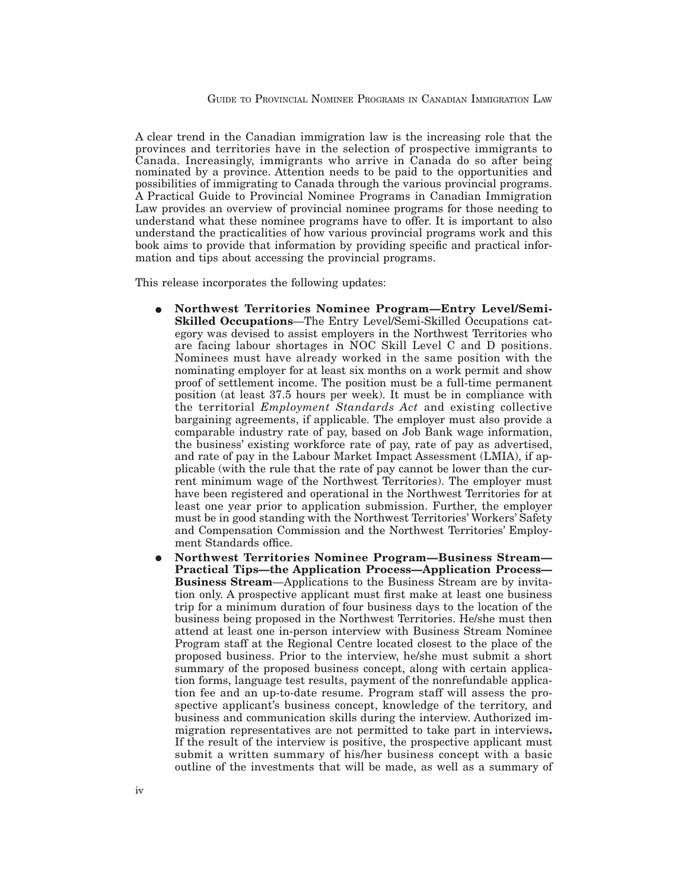A clear trend in the Canadian immigration law is the increasing role that the provinces and territories have in the selection of prospective immigrants to Canada. Increasingly, immigrants who arrive in Canada do so after being nominated by a province. Attention needs to be paid to the opportunities and possibilities of immigrating to Canada through the various provincial programs. A Practical Guide to Provincial Nominee Programs in Canadian Immigration Law provides an overview of provincial nominee programs for those needing to understand what these nominee programs have to offer. It is important to also understand the practicalities of how various provincial programs work and this book aims to provide that information by providing specific and practical information and tips about accessing the provincial programs.

This release incorporates the following updates:

- E **Northwest Territories Nominee Program—Entry Level/Semi-Skilled Occupations**—The Entry Level/Semi-Skilled Occupations category was devised to assist employers in the Northwest Territories who are facing labour shortages in NOC Skill Level C and D positions. Nominees must have already worked in the same position with the nominating employer for at least six months on a work permit and show proof of settlement income. The position must be a full-time permanent position (at least 37.5 hours per week). It must be in compliance with the territorial *Employment Standards Act* and existing collective bargaining agreements, if applicable. The employer must also provide a comparable industry rate of pay, based on Job Bank wage information, the business' existing workforce rate of pay, rate of pay as advertised, and rate of pay in the Labour Market Impact Assessment (LMIA), if applicable (with the rule that the rate of pay cannot be lower than the current minimum wage of the Northwest Territories). The employer must have been registered and operational in the Northwest Territories for at least one year prior to application submission. Further, the employer must be in good standing with the Northwest Territories' Workers' Safety and Compensation Commission and the Northwest Territories' Employment Standards office.
- E **Northwest Territories Nominee Program—Business Stream— Practical Tips—the Application Process—Application Process— Business Stream**—Applications to the Business Stream are by invitation only. A prospective applicant must first make at least one business trip for a minimum duration of four business days to the location of the business being proposed in the Northwest Territories. He/she must then attend at least one in-person interview with Business Stream Nominee Program staff at the Regional Centre located closest to the place of the proposed business. Prior to the interview, he/she must submit a short summary of the proposed business concept, along with certain application forms, language test results, payment of the nonrefundable application fee and an up-to-date resume. Program staff will assess the prospective applicant's business concept, knowledge of the territory, and business and communication skills during the interview. Authorized immigration representatives are not permitted to take part in interviews**.** If the result of the interview is positive, the prospective applicant must submit a written summary of his/her business concept with a basic outline of the investments that will be made, as well as a summary of